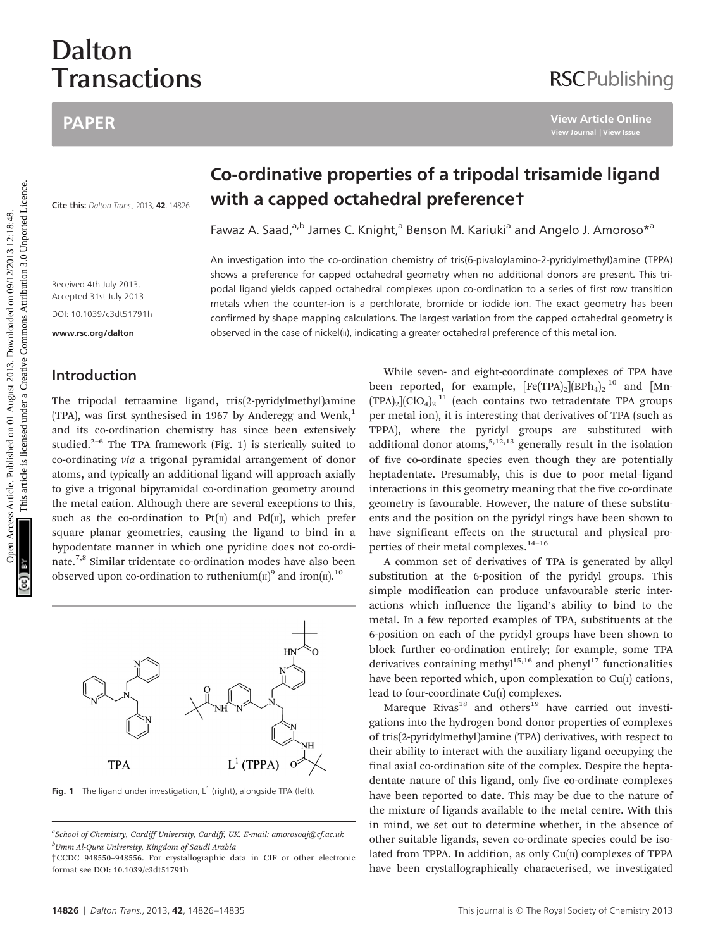# Dalton **Transactions**

## PAPER

#### **Cite this: Dalton Trans., 2013, 42, 14826**

Received 4th July 2013, Accepted 31st July 2013 DOI: 10.1039/c3dt51791h

<www.rsc.org/dalton>

## Introduction

The tripodal tetraamine ligand, tris(2-pyridylmethyl)amine (TPA), was first synthesised in 1967 by Anderegg and Wenk,<sup>1</sup> and its co-ordination chemistry has since been extensively studied.<sup>2–6</sup> The TPA framework (Fig. 1) is sterically suited to co-ordinating via a trigonal pyramidal arrangement of donor atoms, and typically an additional ligand will approach axially to give a trigonal bipyramidal co-ordination geometry around the metal cation. Although there are several exceptions to this, such as the co-ordination to  $Pt(\pi)$  and  $Pd(\pi)$ , which prefer square planar geometries, causing the ligand to bind in a hypodentate manner in which one pyridine does not co-ordinate.7,8 Similar tridentate co-ordination modes have also been observed upon co-ordination to ruthenium( $\pi$ )<sup>9</sup> and iron( $\pi$ ).<sup>10</sup>



Fig. 1 The ligand under investigation,  $L^1$  (right), alongside TPA (left).

†CCDC 948550–948556. For crystallographic data in CIF or other electronic format see DOI: 10.1039/c3dt51791h

## Co-ordinative properties of a tripodal trisamide ligand with a capped octahedral preference†

Fawaz A. Saad,<sup>a,b</sup> James C. Knight,<sup>a</sup> Benson M. Kariuki<sup>a</sup> and Angelo J. Amoroso<sup>\*a</sup>

An investigation into the co-ordination chemistry of tris(6-pivaloylamino-2-pyridylmethyl)amine (TPPA) shows a preference for capped octahedral geometry when no additional donors are present. This tripodal ligand yields capped octahedral complexes upon co-ordination to a series of first row transition metals when the counter-ion is a perchlorate, bromide or iodide ion. The exact geometry has been confirmed by shape mapping calculations. The largest variation from the capped octahedral geometry is observed in the case of nickel(II), indicating a greater octahedral preference of this metal ion.

While seven- and eight-coordinate complexes of TPA have been reported, for example,  $[Fe(TPA)_2][BPh_4]_2^{10}$  and  $[Mn (TPA)_2$ ](ClO<sub>4</sub>)<sub>2</sub><sup>11</sup> (each contains two tetradentate TPA groups per metal ion), it is interesting that derivatives of TPA (such as TPPA), where the pyridyl groups are substituted with additional donor atoms,<sup>5,12,13</sup> generally result in the isolation of five co-ordinate species even though they are potentially heptadentate. Presumably, this is due to poor metal–ligand interactions in this geometry meaning that the five co-ordinate geometry is favourable. However, the nature of these substituents and the position on the pyridyl rings have been shown to have significant effects on the structural and physical properties of their metal complexes.<sup>14-16</sup> PAPER<br> **Co-ordinative properties of a tripodal trisamide ligan:**<br>
Signal case the column time is a second of the column of the column of the column of the column of the column of the column of the column of the column of

**RSCPublishing** 

A common set of derivatives of TPA is generated by alkyl substitution at the 6-position of the pyridyl groups. This simple modification can produce unfavourable steric interactions which influence the ligand's ability to bind to the metal. In a few reported examples of TPA, substituents at the 6-position on each of the pyridyl groups have been shown to block further co-ordination entirely; for example, some TPA derivatives containing methyl<sup>15,16</sup> and phenyl<sup>17</sup> functionalities have been reported which, upon complexation to  $Cu(1)$  cations, lead to four-coordinate Cu(1) complexes.

Mareque Rivas<sup>18</sup> and others<sup>19</sup> have carried out investigations into the hydrogen bond donor properties of complexes of tris(2-pyridylmethyl)amine (TPA) derivatives, with respect to their ability to interact with the auxiliary ligand occupying the final axial co-ordination site of the complex. Despite the heptadentate nature of this ligand, only five co-ordinate complexes have been reported to date. This may be due to the nature of the mixture of ligands available to the metal centre. With this in mind, we set out to determine whether, in the absence of other suitable ligands, seven co-ordinate species could be isolated from TPPA. In addition, as only  $Cu(II)$  complexes of TPPA have been crystallographically characterised, we investigated

a<br>School of Chemistry, Cardiff University, Cardiff, UK. E-mail: amorosoaj@cf.ac.uk  $^b$ Umm Al-Qura University, Kingdom of Saudi Arabia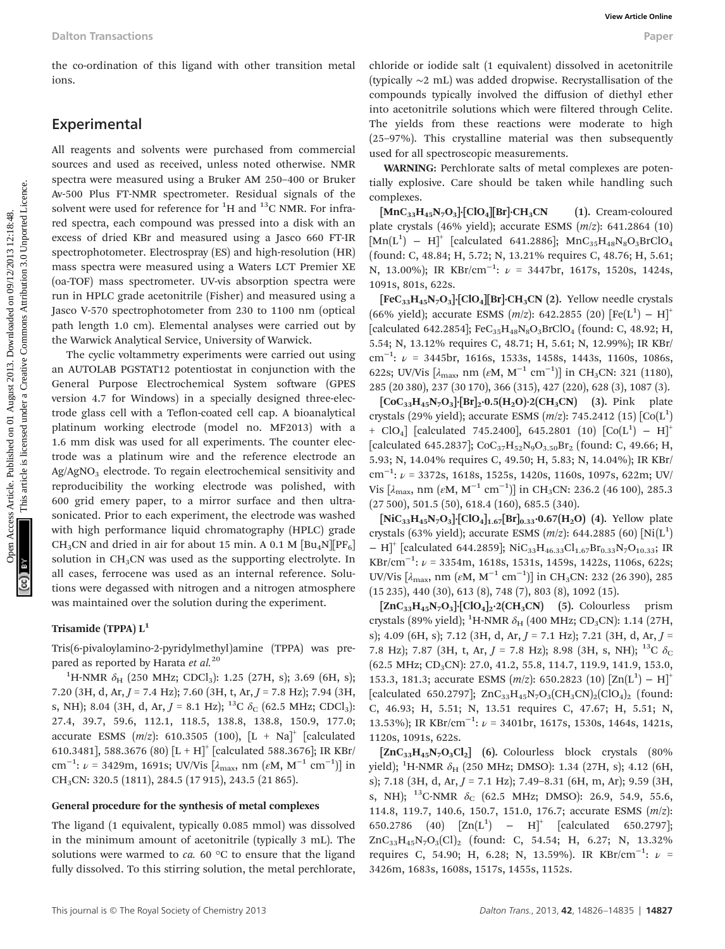the co-ordination of this ligand with other transition metal ions.

## Experimental

All reagents and solvents were purchased from commercial sources and used as received, unless noted otherwise. NMR spectra were measured using a Bruker AM 250–400 or Bruker Av-500 Plus FT-NMR spectrometer. Residual signals of the solvent were used for reference for  ${}^{1}H$  and  ${}^{13}C$  NMR. For infrared spectra, each compound was pressed into a disk with an excess of dried KBr and measured using a Jasco 660 FT-IR spectrophotometer. Electrospray (ES) and high-resolution (HR) mass spectra were measured using a Waters LCT Premier XE (oa-TOF) mass spectrometer. UV-vis absorption spectra were run in HPLC grade acetonitrile (Fisher) and measured using a Jasco V-570 spectrophotometer from 230 to 1100 nm (optical path length 1.0 cm). Elemental analyses were carried out by the Warwick Analytical Service, University of Warwick.

The cyclic voltammetry experiments were carried out using an AUTOLAB PGSTAT12 potentiostat in conjunction with the General Purpose Electrochemical System software (GPES version 4.7 for Windows) in a specially designed three-electrode glass cell with a Teflon-coated cell cap. A bioanalytical platinum working electrode (model no. MF2013) with a 1.6 mm disk was used for all experiments. The counter electrode was a platinum wire and the reference electrode an Ag/AgNO<sub>3</sub> electrode. To regain electrochemical sensitivity and reproducibility the working electrode was polished, with 600 grid emery paper, to a mirror surface and then ultrasonicated. Prior to each experiment, the electrode was washed with high performance liquid chromatography (HPLC) grade CH<sub>3</sub>CN and dried in air for about 15 min. A 0.1 M  $\text{[Bu}_{4}N\text{][PF}_{6}\text{]}$ solution in  $CH<sub>3</sub>CN$  was used as the supporting electrolyte. In all cases, ferrocene was used as an internal reference. Solutions were degassed with nitrogen and a nitrogen atmosphere was maintained over the solution during the experiment. Dalton Transactions **Contribution** of this ligand with other transition metal eithering in the data it population of the sequential inter-<br>
Experimental inter-<br>
Experimental inter-<br>
Experimental inter-<br>
Experimental inter

#### Trisamide (TPPA) L<sup>1</sup>

Tris(6-pivaloylamino-2-pyridylmethyl)amine (TPPA) was prepared as reported by Harata et  $al.^{20}$ 

<sup>1</sup>H-NMR  $\delta_{\rm H}$  (250 MHz; CDCl<sub>3</sub>): 1.25 (27H, s); 3.69 (6H, s); 7.20 (3H, d, Ar, J = 7.4 Hz); 7.60 (3H, t, Ar, J = 7.8 Hz); 7.94 (3H, s, NH); 8.04 (3H, d, Ar,  $J = 8.1$  Hz); <sup>13</sup>C  $\delta$ <sub>C</sub> (62.5 MHz; CDCl<sub>3</sub>): 27.4, 39.7, 59.6, 112.1, 118.5, 138.8, 138.8, 150.9, 177.0; accurate ESMS  $(m/z)$ : 610.3505 (100),  $[L + Na]^+$  [calculated 610.3481], 588.3676 (80)  $[L + H]^+$  [calculated 588.3676]; IR KBr/ cm<sup>-1</sup>: ν = 3429m, 1691s; UV/Vis [λ<sub>max</sub>, nm (εΜ, Μ<sup>-1</sup> cm<sup>-1</sup>)] in CH3CN: 320.5 (1811), 284.5 (17 915), 243.5 (21 865).

#### General procedure for the synthesis of metal complexes

The ligand (1 equivalent, typically 0.085 mmol) was dissolved in the minimum amount of acetonitrile (typically 3 mL). The solutions were warmed to  $ca. 60 °C$  to ensure that the ligand fully dissolved. To this stirring solution, the metal perchlorate,

chloride or iodide salt (1 equivalent) dissolved in acetonitrile (typically ∼2 mL) was added dropwise. Recrystallisation of the compounds typically involved the diffusion of diethyl ether into acetonitrile solutions which were filtered through Celite. The yields from these reactions were moderate to high (25–97%). This crystalline material was then subsequently used for all spectroscopic measurements.

WARNING: Perchlorate salts of metal complexes are potentially explosive. Care should be taken while handling such complexes.

 $\text{[MnC}_{33}H_{45}N_7O_3\text{]}$ ·[ClO<sub>4</sub>][Br]·CH<sub>3</sub>CN (1). Cream-coloured plate crystals (46% yield); accurate ESMS  $(m/z)$ : 641.2864 (10)  $[Mn(L<sup>1</sup>) - H]$ <sup>+</sup> [calculated 641.2886]; MnC<sub>35</sub>H<sub>48</sub>N<sub>8</sub>O<sub>3</sub>BrClO<sub>4</sub> (found: C, 48.84; H, 5.72; N, 13.21% requires C, 48.76; H, 5.61; N, 13.00%); IR  $KBr/cm^{-1}$ :  $\nu = 3447br, 1617s, 1520s, 1424s,$ 1091s, 801s, 622s.

 $[FeC_{33}H_{45}N_7O_3]$ · $[ClO_4]$  $Br$ ]· $CH_3CN$  (2). Yellow needle crystals (66% yield); accurate ESMS  $(m/z)$ : 642.2855 (20)  $[Fe(L<sup>1</sup>) - H]$ <sup>+</sup> [calculated 642.2854];  $FeC_{35}H_{48}N_8O_3BrClO_4$  (found: C, 48.92; H, 5.54; N, 13.12% requires C, 48.71; H, 5.61; N, 12.99%); IR KBr/ cm<sup>-1</sup>:  $\nu$  = 3445br, 1616s, 1533s, 1458s, 1443s, 1160s, 1086s, 622s; UV/Vis  $[\lambda_{\text{max}}$ , nm  $(\varepsilon M, M^{-1} \text{ cm}^{-1})]$  in CH<sub>3</sub>CN: 321 (1180), 285 (20 380), 237 (30 170), 366 (315), 427 (220), 628 (3), 1087 (3).

 $[CoC_{33}H_{45}N_7O_3]{[Br]}_2.0.5(H_2O){\cdot}2(CH_3CN)$  (3). Pink plate crystals (29% yield); accurate ESMS  $(m/z)$ : 745.2412 (15)  $[Co(L<sup>1</sup>)]$ + ClO<sub>4</sub>] [calculated 745.2400], 645.2801 (10)  $[Co(L^1) - H]^+$ [calculated 645.2837];  $CoC_{37}H_{52}N_9O_{3.50}Br_2$  (found: C, 49.66; H, 5.93; N, 14.04% requires C, 49.50; H, 5.83; N, 14.04%); IR KBr/ cm<sup>-1</sup>:  $\nu$  = 3372s, 1618s, 1525s, 1420s, 1160s, 1097s, 622m; UV/ Vis [ $\lambda_{\rm max}$ , nm ( $\varepsilon$ M, M<sup>-1</sup> cm<sup>-1</sup>)] in CH<sub>3</sub>CN: 236.2 (46 100), 285.3 (27 500), 501.5 (50), 618.4 (160), 685.5 (340).

 $[NiC_{33}H_{45}N_7O_3]\cdot [ClO_4]_{1.67}[Br]_{0.33}\cdot 0.67(H_2O)$  (4). Yellow plate crystals (63% yield); accurate ESMS  $(m/z)$ : 644.2885 (60)  $[Ni(L^1)]$  $- H$ <sup>+</sup> [calculated 644.2859]; NiC<sub>33</sub>H<sub>46.33</sub>Cl<sub>1.67</sub>Br<sub>0.33</sub>N<sub>7</sub>O<sub>10.33</sub>; IR KBr/cm<sup>-1</sup>:  $\nu$  = 3354m, 1618s, 1531s, 1459s, 1422s, 1106s, 622s; UV/Vis  $[\lambda_{\text{max}}$ , nm  $(\varepsilon M, M^{-1} \text{ cm}^{-1})]$  in CH<sub>3</sub>CN: 232 (26 390), 285 (15 235), 440 (30), 613 (8), 748 (7), 803 (8), 1092 (15).

 $[ZnC_{33}H_{45}N_7O_3]$ · $[ClO_4]_2$ · $2(CH_3CN)$  (5). Colourless prism crystals (89% yield);  ${}^{1}$ H-NMR  $\delta_{\text{H}}$  (400 MHz; CD<sub>3</sub>CN): 1.14 (27H, s); 4.09 (6H, s); 7.12 (3H, d, Ar,  $J = 7.1$  Hz); 7.21 (3H, d, Ar,  $J =$ 7.8 Hz); 7.87 (3H, t, Ar,  $J = 7.8$  Hz); 8.98 (3H, s, NH); <sup>13</sup>C  $\delta_c$ (62.5 MHz; CD<sub>3</sub>CN): 27.0, 41.2, 55.8, 114.7, 119.9, 141.9, 153.0, 153.3, 181.3; accurate ESMS  $(m/z)$ : 650.2823  $(10)$   $[Zn(L^1) - H]^+$ [calculated 650.2797]; ZnC<sub>33</sub>H<sub>45</sub>N<sub>7</sub>O<sub>3</sub>(CH<sub>3</sub>CN)<sub>2</sub>(ClO<sub>4</sub>)<sub>2</sub> (found: C, 46.93; H, 5.51; N, 13.51 requires C, 47.67; H, 5.51; N, 13.53%); IR KBr/cm<sup>-1</sup>:  $\nu$  = 3401br, 1617s, 1530s, 1464s, 1421s, 1120s, 1091s, 622s.

 $[ZnC_{33}H_{45}N_7O_3Cl_2]$  (6). Colourless block crystals (80%) yield); <sup>1</sup>H-NMR  $\delta_{\rm H}$  (250 MHz; DMSO): 1.34 (27H, s); 4.12 (6H, s); 7.18 (3H, d, Ar, J = 7.1 Hz); 7.49–8.31 (6H, m, Ar); 9.59 (3H, s, NH);  $^{13}$ C-NMR  $\delta$ <sub>C</sub> (62.5 MHz; DMSO): 26.9, 54.9, 55.6, 114.8, 119.7, 140.6, 150.7, 151.0, 176.7; accurate ESMS (m/z): 650.2786 (40)  $[Zn(L^1) - H]^+$  [calculated 650.2797];  $ZnC_{33}H_{45}N_7O_3(Cl)_2$  (found: C, 54.54; H, 6.27; N, 13.32%) requires C, 54.90; H, 6.28; N, 13.59%). IR  $\text{KBr/cm}^{-1}$ :  $\nu$  = 3426m, 1683s, 1608s, 1517s, 1455s, 1152s.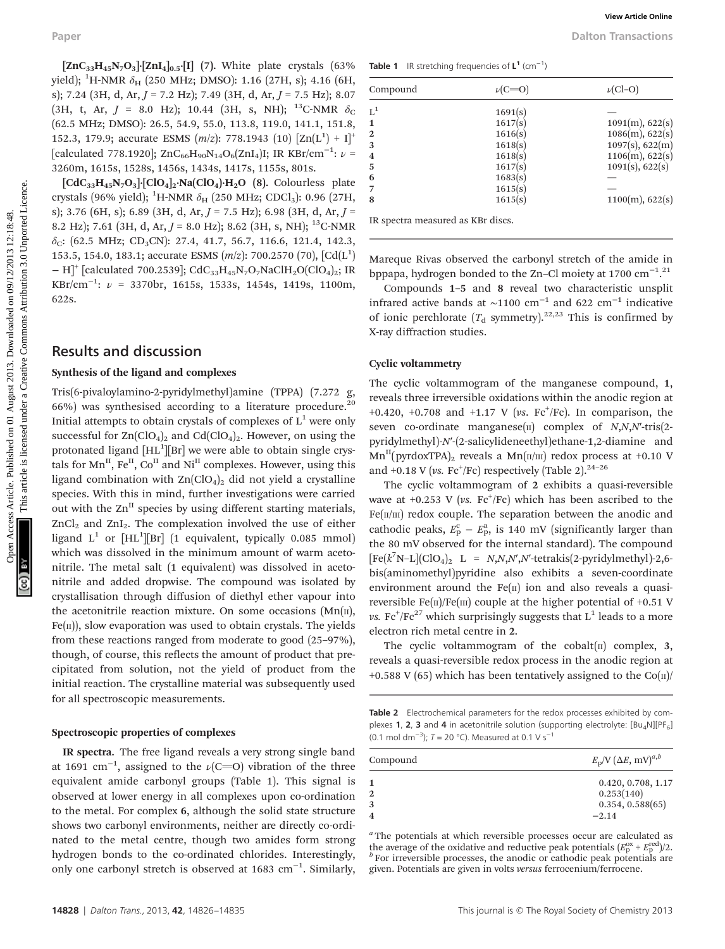$\left[\text{ZnC}_{33}H_{45}\text{N}_7\text{O}_3\right]$  $\left[\text{ZnI}_4\right]_{0.5}$  $\left[\text{I}\right]$  (7). White plate crystals (63%) yield); <sup>1</sup>H-NMR  $\delta_{\rm H}$  (250 MHz; DMSO): 1.16 (27H, s); 4.16 (6H, s); 7.24 (3H, d, Ar,  $J = 7.2$  Hz); 7.49 (3H, d, Ar,  $J = 7.5$  Hz); 8.07 (3H, t, Ar,  $J = 8.0$  Hz); 10.44 (3H, s, NH); <sup>13</sup>C-NMR  $\delta_c$ (62.5 MHz; DMSO): 26.5, 54.9, 55.0, 113.8, 119.0, 141.1, 151.8, 152.3, 179.9; accurate ESMS  $(m/z)$ : 778.1943  $(10)$   $[Zn(L^1) + I]^+$ [calculated 778.1920]; ZnC<sub>66</sub>H<sub>90</sub>N<sub>14</sub>O<sub>6</sub>(ZnI<sub>4</sub>)I; IR KBr/cm<sup>-1</sup>:  $\nu$  = 3260m, 1615s, 1528s, 1456s, 1434s, 1417s, 1155s, 801s.

 $\left[\text{CdC}_{33}H_{45}N_7O_3\right]\left[\text{ClO}_4\right]_2\text{Na}(\text{ClO}_4)\cdot H_2O$  (8). Colourless plate crystals (96% yield); <sup>1</sup>H-NMR  $\delta_{\rm H}$  (250 MHz; CDCl<sub>3</sub>): 0.96 (27H, s); 3.76 (6H, s); 6.89 (3H, d, Ar,  $J = 7.5$  Hz); 6.98 (3H, d, Ar,  $J =$ 8.2 Hz); 7.61 (3H, d, Ar,  $J = 8.0$  Hz); 8.62 (3H, s, NH); <sup>13</sup>C-NMR  $\delta_C$ : (62.5 MHz; CD<sub>3</sub>CN): 27.4, 41.7, 56.7, 116.6, 121.4, 142.3, 153.5, 154.0, 183.1; accurate ESMS  $(m/z)$ : 700.2570 (70),  $[Cd(L<sup>1</sup>)$  $- H$ <sup>+</sup> [calculated 700.2539]; CdC<sub>33</sub>H<sub>45</sub>N<sub>7</sub>O<sub>7</sub>NaClH<sub>2</sub>O(ClO<sub>4</sub>)<sub>2</sub>; IR KBr/cm−<sup>1</sup> : ν = 3370br, 1615s, 1533s, 1454s, 1419s, 1100m, 622s.

#### Results and discussion

#### Synthesis of the ligand and complexes

Tris(6-pivaloylamino-2-pyridylmethyl)amine (TPPA) (7.272 g, 66%) was synthesised according to a literature procedure.<sup>20</sup> Initial attempts to obtain crystals of complexes of  $L^1$  were only successful for  $\text{Zn}(\text{ClO}_4)_2$  and  $\text{Cd}(\text{ClO}_4)_2$ . However, on using the protonated ligand  $\text{[HL$^1$][Br]}$  we were able to obtain single crystals for  $Mn^{\text{II}}$ , Fe<sup>II</sup>, Co<sup>II</sup> and Ni<sup>II</sup> complexes. However, using this ligand combination with  $Zn(CIO<sub>4</sub>)<sub>2</sub>$  did not yield a crystalline species. With this in mind, further investigations were carried out with the  $\text{Zn}^{\text{II}}$  species by using different starting materials, ZnCl<sub>2</sub> and ZnI<sub>2</sub>. The complexation involved the use of either ligand  $L^1$  or  $[HL^1][Br]$  (1 equivalent, typically 0.085 mmol) which was dissolved in the minimum amount of warm acetonitrile. The metal salt (1 equivalent) was dissolved in acetonitrile and added dropwise. The compound was isolated by crystallisation through diffusion of diethyl ether vapour into the acetonitrile reaction mixture. On some occasions  $(Mn(n),$  $Fe(\theta)$ , slow evaporation was used to obtain crystals. The yields from these reactions ranged from moderate to good (25–97%), though, of course, this reflects the amount of product that precipitated from solution, not the yield of product from the initial reaction. The crystalline material was subsequently used for all spectroscopic measurements. Paper Water Context Comparison (2013)<br>
(and Access Article 2013), the state area of the state of the state and the state of the state of the state and the state of the state of the state of the state and the state and the

#### Spectroscopic properties of complexes

IR spectra. The free ligand reveals a very strong single band at 1691  $\rm cm^{-1}$ , assigned to the  $\nu(\rm C=\rm O)$  vibration of the three equivalent amide carbonyl groups (Table 1). This signal is observed at lower energy in all complexes upon co-ordination to the metal. For complex 6, although the solid state structure shows two carbonyl environments, neither are directly co-ordinated to the metal centre, though two amides form strong hydrogen bonds to the co-ordinated chlorides. Interestingly, only one carbonyl stretch is observed at 1683 cm−<sup>1</sup> . Similarly,

Table 1 IR stretching frequencies of  $L^1$  (cm<sup>-1</sup>)

| Compound                |         | $\nu$ (Cl-O)    |
|-------------------------|---------|-----------------|
| $L^1$                   | 1691(s) |                 |
| $\mathbf{1}$            | 1617(s) | 1091(m), 622(s) |
| $\overline{2}$          | 1616(s) | 1086(m), 622(s) |
| 3                       | 1618(s) | 1097(s), 622(m) |
| $\overline{\mathbf{4}}$ | 1618(s) | 1106(m), 622(s) |
| -5                      | 1617(s) | 1091(s), 622(s) |
| 6                       | 1683(s) |                 |
|                         | 1615(s) |                 |
| 8                       | 1615(s) | 1100(m), 622(s) |

Mareque Rivas observed the carbonyl stretch of the amide in

bppapa, hydrogen bonded to the Zn-Cl moiety at 1700  $cm^{-1}$ .<sup>21</sup>

Compounds 1–5 and 8 reveal two characteristic unsplit infrared active bands at ~1100 cm<sup>-1</sup> and 622 cm<sup>-1</sup> indicative of ionic perchlorate  $(T_d$  symmetry).<sup>22,23</sup> This is confirmed by X-ray diffraction studies.

#### Cyclic voltammetry

The cyclic voltammogram of the manganese compound, 1, reveals three irreversible oxidations within the anodic region at +0.420, +0.708 and +1.17 V (vs.  $\text{Fc}^+/\text{Fc}$ ). In comparison, the seven co-ordinate manganese( $\pi$ ) complex of  $N, N, N'$ -tris(2pyridylmethyl)-N′-(2-salicylideneethyl)ethane-1,2-diamine and  $Mn^{II}(pyrdoxTPA)_2$  reveals a  $Mn(\pi/\pi)$  redox process at +0.10 V and +0.18 V (vs. Fc<sup>+</sup>/Fc) respectively (Table 2).<sup>24-26</sup>

The cyclic voltammogram of 2 exhibits a quasi-reversible wave at  $+0.253$  V (vs.  $Fc^+/Fc)$  which has been ascribed to the  $Fe(\text{II/III})$  redox couple. The separation between the anodic and cathodic peaks,  $E_p^c - E_p^a$ , is 140 mV (significantly larger than the 80 mV observed for the internal standard). The compound  $[Fe(k^7N-L](ClO_4)_2$  L =  $N, N, N', N'$ -tetrakis(2-pyridylmethyl)-2,6bis(aminomethyl)pyridine also exhibits a seven-coordinate environment around the  $Fe(II)$  ion and also reveals a quasireversible Fe( $\pi$ )/Fe( $\pi$ ) couple at the higher potential of +0.51 V  $\rm \nu s. \; Fe^+ / Fe^{27}$  which surprisingly suggests that  $\rm L^1$  leads to a more electron rich metal centre in 2.

The cyclic voltammogram of the cobalt $(n)$  complex, 3, reveals a quasi-reversible redox process in the anodic region at +0.588 V (65) which has been tentatively assigned to the  $Co(n)/$ 

Table 2 Electrochemical parameters for the redox processes exhibited by complexes 1, 2, 3 and 4 in acetonitrile solution (supporting electrolyte:  $[Bu_4N][PF_6]$ (0.1 mol dm<sup>-3</sup>);  $T = 20$  °C). Measured at 0.1 V s<sup>-1</sup>

| Compound | $E_p/V$ $(\Delta E, \text{mV})^{a,b}$                           |
|----------|-----------------------------------------------------------------|
|          | 0.420, 0.708, 1.17<br>0.253(140)<br>0.354, 0.588(65)<br>$-2.14$ |

<sup>a</sup> The potentials at which reversible processes occur are calculated as the average of the oxidative and reductive peak potentials  $(E_{\rm p}^{\rm ox} + E_{\rm p}^{\rm red}$ <sup>p</sup> )/2. <sup>b</sup> For irreversible processes, the anodic or cathodic peak potentials are given. Potentials are given in volts versus ferrocenium/ferrocene.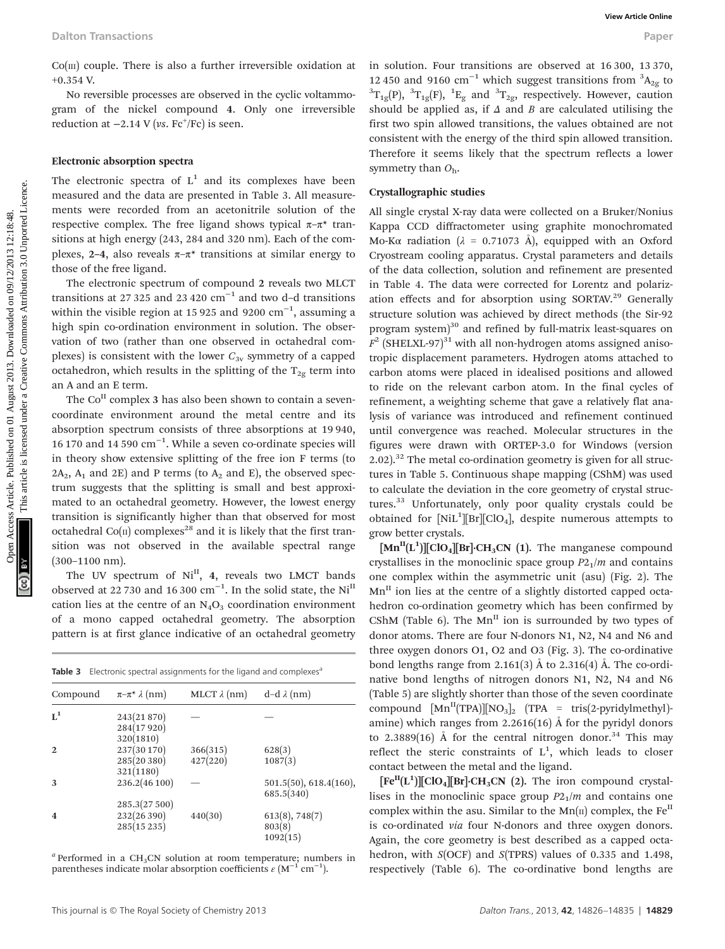$Co(m)$  couple. There is also a further irreversible oxidation at +0.354 V.

No reversible processes are observed in the cyclic voltammogram of the nickel compound 4. Only one irreversible reduction at  $-2.14$  V (vs.  $\text{Fc}^{\dagger}/\text{Fc}}$ ) is seen.

#### Electronic absorption spectra

The electronic spectra of  $L^1$  and its complexes have been measured and the data are presented in Table 3. All measurements were recorded from an acetonitrile solution of the respective complex. The free ligand shows typical  $\pi-\pi^*$  transitions at high energy (243, 284 and 320 nm). Each of the complexes, 2–4, also reveals  $\pi-\pi^*$  transitions at similar energy to those of the free ligand.

The electronic spectrum of compound 2 reveals two MLCT transitions at 27 325 and 23 420  $\text{cm}^{-1}$  and two d–d transitions within the visible region at 15 925 and 9200  $\rm cm^{-1}$ , assuming a high spin co-ordination environment in solution. The observation of two (rather than one observed in octahedral complexes) is consistent with the lower  $C_{3v}$  symmetry of a capped octahedron, which results in the splitting of the  $T_{2g}$  term into an A and an E term.

The  $Co<sup>H</sup>$  complex 3 has also been shown to contain a sevencoordinate environment around the metal centre and its absorption spectrum consists of three absorptions at 19 940, 16 170 and 14 590 cm−<sup>1</sup> . While a seven co-ordinate species will in theory show extensive splitting of the free ion F terms (to  $2A_2$ ,  $A_1$  and  $2E$ ) and P terms (to  $A_2$  and E), the observed spectrum suggests that the splitting is small and best approximated to an octahedral geometry. However, the lowest energy transition is significantly higher than that observed for most octahedral  $Co(n)$  complexes<sup>28</sup> and it is likely that the first transition was not observed in the available spectral range (300–1100 nm).

The UV spectrum of  $Ni<sup>II</sup>$ , 4, reveals two LMCT bands observed at 22 730 and 16 300 cm<sup>-1</sup>. In the solid state, the Ni<sup>II</sup> cation lies at the centre of an  $N_4O_3$  coordination environment of a mono capped octahedral geometry. The absorption pattern is at first glance indicative of an octahedral geometry

| Table 3 Electronic spectral assignments for the ligand and complexes <sup>a</sup> |  |
|-----------------------------------------------------------------------------------|--|
|-----------------------------------------------------------------------------------|--|

| Compound                | $\pi-\pi^* \lambda$ (nm)                | MLCT $\lambda$ (nm)  | $d-d \lambda$ (nm)                   |
|-------------------------|-----------------------------------------|----------------------|--------------------------------------|
| $L^1$                   | 243(21 870)<br>284(17920)<br>320(1810)  |                      |                                      |
| $\mathbf{2}$            | 237(30 170)<br>285(20 380)<br>321(1180) | 366(315)<br>427(220) | 628(3)<br>1087(3)                    |
| 3                       | 236.2(46 100)<br>285.3(27500)           |                      | 501.5(50), 618.4(160),<br>685.5(340) |
| $\overline{\mathbf{4}}$ | 232(26 390)<br>285(15235)               | 440(30)              | 613(8), 748(7)<br>803(8)<br>1092(15) |

 $a$  Performed in a CH<sub>3</sub>CN solution at room temperature; numbers in parentheses indicate molar absorption coefficients  $\varepsilon$  (M<sup>-1</sup> cm<sup>-1</sup>).

#### Crystallographic studies

All single crystal X-ray data were collected on a Bruker/Nonius Kappa CCD diffractometer using graphite monochromated Mo-Kα radiation ( $\lambda$  = 0.71073 Å), equipped with an Oxford Cryostream cooling apparatus. Crystal parameters and details of the data collection, solution and refinement are presented in Table 4. The data were corrected for Lorentz and polarization effects and for absorption using SORTAV.<sup>29</sup> Generally structure solution was achieved by direct methods (the Sir-92 program system)<sup>30</sup> and refined by full-matrix least-squares on  $F^2$  (SHELXL-97)<sup>31</sup> with all non-hydrogen atoms assigned anisotropic displacement parameters. Hydrogen atoms attached to carbon atoms were placed in idealised positions and allowed to ride on the relevant carbon atom. In the final cycles of refinement, a weighting scheme that gave a relatively flat analysis of variance was introduced and refinement continued until convergence was reached. Molecular structures in the figures were drawn with ORTEP-3.0 for Windows (version  $2.02$ ).<sup>32</sup> The metal co-ordination geometry is given for all structures in Table 5. Continuous shape mapping (CShM) was used to calculate the deviation in the core geometry of crystal structures.<sup>33</sup> Unfortunately, only poor quality crystals could be obtained for  $[NiL^1][Br][ClO_4]$ , despite numerous attempts to grow better crystals. Dalton Transactions<br>
Colar) compact a also a further interestible on<br>dation at in solution, four transitions are observed at 19.390,<br>  $\frac{1}{2}$  axcess Article interestigations are compacted in the grid to the<br>
gram of the

 $\text{[Mn}^{\text{II}}(\text{L}^1)]$ [ClO<sub>4</sub>][Br]·CH<sub>3</sub>CN (1). The manganese compound crystallises in the monoclinic space group  $P2<sub>1</sub>/m$  and contains one complex within the asymmetric unit (asu) (Fig. 2). The  $Mn<sup>H</sup>$  ion lies at the centre of a slightly distorted capped octahedron co-ordination geometry which has been confirmed by CShM (Table 6). The  $Mn^{\text{II}}$  ion is surrounded by two types of donor atoms. There are four N-donors N1, N2, N4 and N6 and three oxygen donors O1, O2 and O3 (Fig. 3). The co-ordinative bond lengths range from 2.161(3)  $\AA$  to 2.316(4)  $\AA$ . The co-ordinative bond lengths of nitrogen donors N1, N2, N4 and N6 (Table 5) are slightly shorter than those of the seven coordinate compound  $[Mn<sup>II</sup>(TPA)][NO<sub>3</sub>]$  (TPA = tris(2-pyridylmethyl)amine) which ranges from 2.2616(16) Å for the pyridyl donors to 2.3889(16)  $\AA$  for the central nitrogen donor.<sup>34</sup> This may reflect the steric constraints of  $L^1$ , which leads to closer contact between the metal and the ligand.

 $[Fe^{II}(L^{1})][ClO_{4}][Br]$ ·CH<sub>3</sub>CN (2). The iron compound crystallises in the monoclinic space group  $P2<sub>1</sub>/m$  and contains one complex within the asu. Similar to the  $Mn(\text{II})$  complex, the Fe<sup>II</sup> is co-ordinated via four N-donors and three oxygen donors. Again, the core geometry is best described as a capped octahedron, with S(OCF) and S(TPRS) values of 0.335 and 1.498, respectively (Table 6). The co-ordinative bond lengths are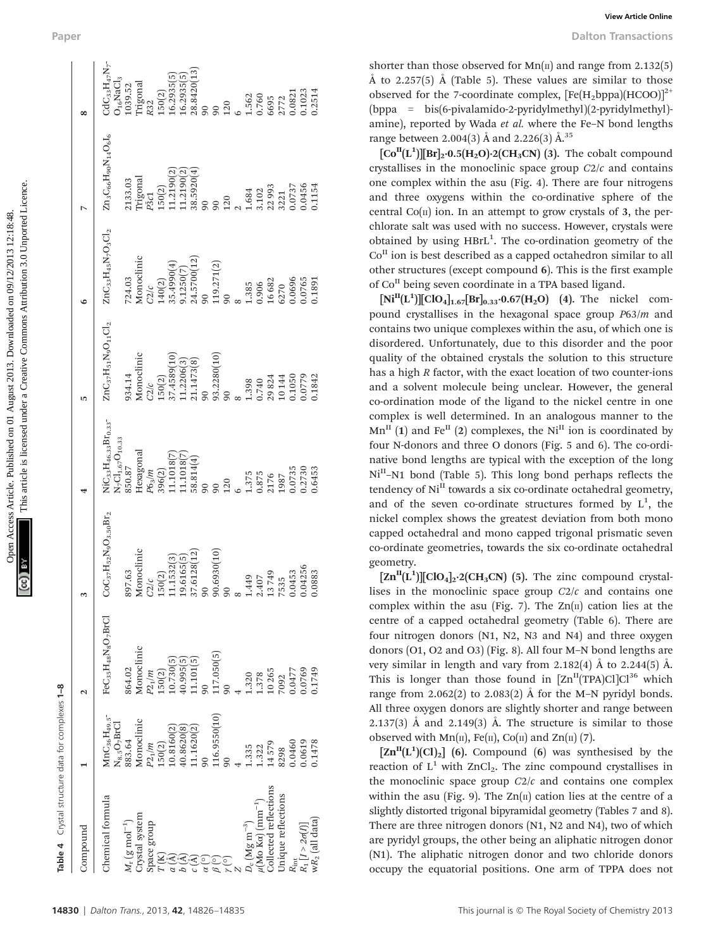| Open Access Article. Published on 01 August 2013. Downloaded on 09/12/2013 12:18:48. | This article is licensed under a Creative Commons Attribution 3.0 Unporte |
|--------------------------------------------------------------------------------------|---------------------------------------------------------------------------|
|                                                                                      |                                                                           |

| Paper                    |                                                                                                                                                                                                                                                                                                                                | View Article Online<br><b>Dalton Transactions</b>                                                                                                                                                                                                                                                                                                                                                                                                                                                                       |
|--------------------------|--------------------------------------------------------------------------------------------------------------------------------------------------------------------------------------------------------------------------------------------------------------------------------------------------------------------------------|-------------------------------------------------------------------------------------------------------------------------------------------------------------------------------------------------------------------------------------------------------------------------------------------------------------------------------------------------------------------------------------------------------------------------------------------------------------------------------------------------------------------------|
| $\infty$                 | $\mathrm{CdC}_{33}\mathrm{H}_{47}\mathrm{N}_{7}$<br>$\frac{16.2935(5)}{28.8420(13)}$<br>16.2935(5)<br><b>Trigonal</b><br>$O_{16}$ NaCl<br>1039.52<br>150(2)<br>0.1023<br>0.2514<br>0.0821<br>1.562<br>0.760<br>6695<br>2772<br>120<br>R32<br>$\mathfrak{g}$<br>90                                                              | shorter than those observed for $Mn(\pi)$ and range from 2.132(5)<br>$\AA$ to 2.257(5) $\AA$ (Table 5). These values are similar to those<br>observed for the 7-coordinate complex, $[Fe(H_2bppa)(HCOO)]^2$<br>(bppa = bis(6-pivalamido-2-pyridylmethyl)(2-pyridylmethyl)<br>amine), reported by Wada et al. where the Fe-N bond lengths                                                                                                                                                                                |
| $\triangleright$         | $\rm Zn_3C_6eH_{90}N_{14}O_6I_6$<br>11.2190(2<br>38.5920(4)<br>11.2190(2<br>Trigonal<br>2133.03<br>0.0456<br>0.1154<br>22993<br>0.0737<br>150(2)<br>1.684<br>3.102<br>3221<br>P3c1<br>120<br>90<br>90                                                                                                                          | range between 2.004(3) Å and 2.226(3) Å. <sup>35</sup><br>$\left[\text{Co}^{\text{II}}(L^1)\right]\left[\text{Br}\right]_2 \cdot 0.5\left(\text{H}_2\text{O}\right) \cdot 2\left(\text{CH}_3\text{CN}\right)$ (3). The cobalt compound<br>crystallises in the monoclinic space group $C2/c$ and contains<br>one complex within the asu (Fig. 4). There are four nitrogens<br>and three oxygens within the co-ordinative sphere of the<br>central $Co(n)$ ion. In an attempt to grow crystals of 3, the per              |
| ٥                        | $\rm ZnC_{33}H_{45}N_7O_3Cl_2$<br>Monoclinic<br>$9.1250(7)$<br>24.5700(12)<br>35.4990(4)<br>119.271(2)<br>724.03<br>0.0696<br>140(2)<br>16682<br>0.0765<br>0.1891<br>1.385<br>0.906<br>6270<br>C2/c<br>$\overline{6}$<br>90                                                                                                    | chlorate salt was used with no success. However, crystals were<br>obtained by using $HBrL1$ . The co-ordination geometry of the<br>$CoH$ ion is best described as a capped octahedron similar to all<br>other structures (except compound 6). This is the first example<br>of Co <sup>II</sup> being seven coordinate in a TPA based ligand.<br>$[Ni^{II}(L^1)][ClO_4]_{1.67}[Br]_{0.33} \cdot 0.67(H_2O)$ (4). The nickel com-<br>pound crystallises in the hexagonal space group $P63/m$ and                          |
| LO <sub>1</sub>          | $\rm ZnC_3$ <sub>7</sub> H <sub>51</sub> N <sub>9</sub> O <sub>11</sub> Cl <sub>2</sub><br>Monoclinic<br>37.4589(10)<br>93.2280(10)<br>11.2206(3)<br>21.1473(8)<br>934.14<br>150(2)<br>0.1050<br>0.0779<br>0.1842<br>29824<br>10144<br>1.398<br>0.740<br>C2/c<br>$_{90}$<br>$_{90}$                                            | contains two unique complexes within the asu, of which one is<br>disordered. Unfortunately, due to this disorder and the poor<br>quality of the obtained crystals the solution to this structure<br>has a high R factor, with the exact location of two counter-ions<br>and a solvent molecule being unclear. However, the general<br>co-ordination mode of the ligand to the nickel centre in one                                                                                                                      |
| $\overline{\phantom{0}}$ | NiC <sub>33</sub> H <sub>46.33</sub> Br <sub>0.33</sub> -<br>$N_7Cl_{1.67}O_{10.33}$ 850.87<br>Hexagonal<br>11.1018 [7<br>$\frac{11.1018(7)}{58.814(4)}$<br>0.0735<br>0.2730<br>396(2)<br>0.6453<br>$P6_3/m$<br>1.375<br>0.875<br>2176<br>1987<br>120<br>$\overline{6}$<br>90                                                  | complex is well determined. In an analogous manner to the<br>$Mn^{II}$ (1) and Fe <sup>II</sup> (2) complexes, the Ni <sup>II</sup> ion is coordinated by<br>four N-donors and three O donors (Fig. 5 and 6). The co-ordi-<br>native bond lengths are typical with the exception of the long<br>Ni <sup>II</sup> -N1 bond (Table 5). This long bond perhaps reflects the<br>tendency of Ni <sup>II</sup> towards a six co-ordinate octahedral geometry<br>and of the seven co-ordinate structures formed by $L^1$ , the |
| $\mathfrak{g}$           | $_2\mathrm{N}_9\mathrm{O}_{3.50}\mathrm{Br}_2$<br>Monoclinic<br>$\widetilde{10}$<br>CoC <sub>37</sub> H <sub>5</sub><br>$C2/c$<br>150(2)<br>11.1532(3<br>19.6165<br>(37.6128<br>90.6930<br>0.04256<br>0.0883<br>0.0453<br>897.63<br>13749<br>1.449<br>2.407<br>7535<br>90<br>90<br>$\infty$                                    | nickel complex shows the greatest deviation from both mono<br>capped octahedral and mono capped trigonal prismatic sever<br>co-ordinate geometries, towards the six co-ordinate octahedra<br>geometry.<br>$\left[\text{Zn}^{\text{II}}(L^1)\right]$ [ClO <sub>4</sub> ] <sub>2</sub> ·2(CH <sub>3</sub> CN) (5). The zinc compound crystal<br>lises in the monoclinic space group $C2/c$ and contains one                                                                                                               |
| $\mathbf{c}$             | FeC <sub>35</sub> H <sub>48</sub> N <sub>8</sub> O <sub>7</sub> BrCl<br>Monoclinic<br>117.050(5)<br>$\begin{array}{l} P2_1/m \\ 150(2) \\ 10.730(5) \\ 40.995(5) \\ 41.101(5) \end{array}$<br>864.02<br>10265<br>0.0769<br>0.1749<br>0.0477<br>1.320<br>1.378<br>7092<br>$\overline{6}$<br>90                                  | complex within the asu (Fig. 7). The $Zn(n)$ cation lies at the<br>centre of a capped octahedral geometry (Table 6). There are<br>four nitrogen donors (N1, N2, N3 and N4) and three oxyger<br>donors (O1, O2 and O3) (Fig. 8). All four M-N bond lengths are<br>very similar in length and vary from 2.182(4) $\AA$ to 2.244(5) $\AA$<br>This is longer than those found in $[Zn^{II}(TPA)Cl]Cl^{36}$ which<br>range from $2.062(2)$ to $2.083(2)$ Å for the M-N pyridyl bonds                                         |
| $\blacksquare$           | 116.9550(10)<br>Monoclinic<br>$\begin{array}{l} \rm MnC_3 \rm{ }_6H_{49.5} \\ \rm N_{8.5}O_7 \rm{ }BrCl \end{array}$<br>$\begin{array}{c} 10.8160(2) \\ 40.8620(8) \\ 11.1620(2) \end{array}$<br>883.64<br>$\frac{P_{2_1}/m}{150(2)}$<br>0.0460<br>0.0619<br>0.1478<br>14579<br>1.335<br>1.322<br>8298<br>$\overline{6}$<br>90 | All three oxygen donors are slightly shorter and range between<br>$2.137(3)$ Å and $2.149(3)$ Å. The structure is similar to those<br>observed with $Mn(\pi)$ , Fe( $\pi$ ), Co( $\pi$ ) and Zn( $\pi$ ) (7).<br>$\left[\text{Zn}^{\text{II}}(L^1)(Cl)_2\right]$ (6). Compound (6) was synthesised by the<br>reaction of $L^1$ with ZnCl <sub>2</sub> . The zinc compound crystallises in                                                                                                                               |
| Compound                 | Collected reflections<br>Unique reflections<br>Chemical formula<br>$\mu(Mo\ \text{K}\alpha)\ (\text{mm}^{-1})$<br>Crystal system<br>$R_{\text{int}}$<br>$R_1$ [ $I > 2\sigma(I)$ ]<br>$W R_2$ (all data)<br>$M_{\rm r}$ (g mol <sup>-1</sup> )<br>Space group<br>$_{\rm c}$ (Mg m <sup>-3</sup> )<br>Q                         | the monoclinic space group $C2/c$ and contains one complex<br>within the asu (Fig. 9). The $Zn(\pi)$ cation lies at the centre of a<br>slightly distorted trigonal bipyramidal geometry (Tables 7 and 8)<br>There are three nitrogen donors (N1, N2 and N4), two of which<br>are pyridyl groups, the other being an aliphatic nitrogen donor<br>(N1). The aliphatic nitrogen donor and two chloride donors<br>occupy the equatorial positions. One arm of TPPA does not                                                 |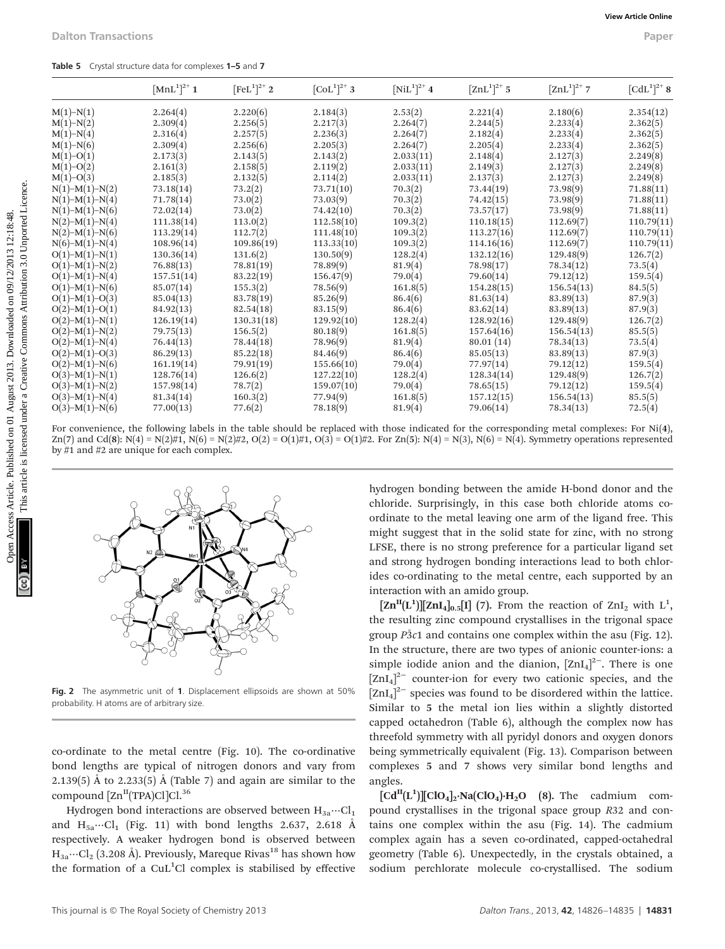|  |  |  |  |  | Table 5 Crystal structure data for complexes 1-5 and 7 |  |  |  |
|--|--|--|--|--|--------------------------------------------------------|--|--|--|
|--|--|--|--|--|--------------------------------------------------------|--|--|--|

| $M(1)-N(1)$       |            | $[FeL1]^{2+}$ 2 | $[COL1]2+$ 3 | $[NiL1]^{2+}$ 4 | $[\text{ZnL}^1]^{2+}$ 5 | $[ZnL^1]^{2+}$ 7 | $[CdL^{1}]^{2+}$ 8 |
|-------------------|------------|-----------------|--------------|-----------------|-------------------------|------------------|--------------------|
|                   | 2.264(4)   | 2.220(6)        | 2.184(3)     | 2.53(2)         | 2.221(4)                | 2.180(6)         | 2.354(12)          |
| $M(1)-N(2)$       | 2.309(4)   | 2.256(5)        | 2.217(3)     | 2.264(7)        | 2.244(5)                | 2.233(4)         | 2.362(5)           |
| $M(1)-N(4)$       | 2.316(4)   | 2.257(5)        | 2.236(3)     | 2.264(7)        | 2.182(4)                | 2.233(4)         | 2.362(5)           |
| $M(1)-N(6)$       | 2.309(4)   | 2.256(6)        | 2.205(3)     | 2.264(7)        | 2.205(4)                | 2.233(4)         | 2.362(5)           |
| $M(1)-O(1)$       | 2.173(3)   | 2.143(5)        | 2.143(2)     | 2.033(11)       | 2.148(4)                | 2.127(3)         | 2.249(8)           |
| $M(1)-O(2)$       | 2.161(3)   | 2.158(5)        | 2.119(2)     | 2.033(11)       | 2.149(3)                | 2.127(3)         | 2.249(8)           |
| $M(1)-O(3)$       | 2.185(3)   | 2.132(5)        | 2.114(2)     | 2.033(11)       | 2.137(3)                | 2.127(3)         | 2.249(8)           |
| $N(1)-M(1)-N(2)$  | 73.18(14)  | 73.2(2)         | 73.71(10)    | 70.3(2)         | 73.44(19)               | 73.98(9)         | 71.88(11)          |
| $N(1)-M(1)-N(4)$  | 71.78(14)  | 73.0(2)         | 73.03(9)     | 70.3(2)         | 74.42(15)               | 73.98(9)         | 71.88(11)          |
| $N(1)-M(1)-N(6)$  | 72.02(14)  | 73.0(2)         | 74.42(10)    | 70.3(2)         | 73.57(17)               | 73.98(9)         | 71.88(11)          |
| $N(2)-M(1)-N(4)$  | 111.38(14) | 113.0(2)        | 112.58(10)   | 109.3(2)        | 110.18(15)              | 112.69(7)        | 110.79(11)         |
| $N(2)-M(1)-N(6)$  | 113.29(14) | 112.7(2)        | 111.48(10)   | 109.3(2)        | 113.27(16)              | 112.69(7)        | 110.79(11)         |
| $N(6)-M(1)-N(4)$  | 108.96(14) | 109.86(19)      | 113.33(10)   | 109.3(2)        | 114.16(16)              | 112.69(7)        | 110.79(11)         |
| $O(1)$ -M(1)-N(1) | 130.36(14) | 131.6(2)        | 130.50(9)    | 128.2(4)        | 132.12(16)              | 129.48(9)        | 126.7(2)           |
| $O(1)$ -M(1)-N(2) | 76.88(13)  | 78.81(19)       | 78.89(9)     | 81.9(4)         | 78.98(17)               | 78.34(12)        | 73.5(4)            |
| $O(1)$ -M(1)-N(4) | 157.51(14) | 83.22(19)       | 156.47(9)    | 79.0(4)         | 79.60(14)               | 79.12(12)        | 159.5(4)           |
| $O(1)$ –M(1)–N(6) | 85.07(14)  | 155.3(2)        | 78.56(9)     | 161.8(5)        | 154.28(15)              | 156.54(13)       | 84.5(5)            |
| $O(1)$ -M(1)-O(3) | 85.04(13)  | 83.78(19)       | 85.26(9)     | 86.4(6)         | 81.63(14)               | 83.89(13)        | 87.9(3)            |
| $O(2)$ -M(1)-O(1) | 84.92(13)  | 82.54(18)       | 83.15(9)     | 86.4(6)         | 83.62(14)               | 83.89(13)        | 87.9(3)            |
| $O(2)$ -M(1)-N(1) | 126.19(14) | 130.31(18)      | 129.92(10)   | 128.2(4)        | 128.92(16)              | 129.48(9)        | 126.7(2)           |
| $O(2)$ -M(1)-N(2) | 79.75(13)  | 156.5(2)        | 80.18(9)     | 161.8(5)        | 157.64(16)              | 156.54(13)       | 85.5(5)            |
| $O(2)$ -M(1)-N(4) | 76.44(13)  | 78.44(18)       | 78.96(9)     | 81.9(4)         | 80.01(14)               | 78.34(13)        | 73.5(4)            |
| $O(2)$ -M(1)-O(3) | 86.29(13)  | 85.22(18)       | 84.46(9)     | 86.4(6)         | 85.05(13)               | 83.89(13)        | 87.9(3)            |
| $O(2)$ -M(1)-N(6) | 161.19(14) | 79.91(19)       | 155.66(10)   | 79.0(4)         | 77.97(14)               | 79.12(12)        | 159.5(4)           |
| $O(3)-M(1)-N(1)$  | 128.76(14) | 126.6(2)        | 127.22(10)   | 128.2(4)        | 128.34(14)              | 129.48(9)        | 126.7(2)           |
| $O(3)$ -M(1)-N(2) | 157.98(14) | 78.7(2)         | 159.07(10)   | 79.0(4)         | 78.65(15)               | 79.12(12)        | 159.5(4)           |
| $O(3)-M(1)-N(4)$  | 81.34(14)  | 160.3(2)        | 77.94(9)     | 161.8(5)        | 157.12(15)              | 156.54(13)       | 85.5(5)            |
| $O(3)-M(1)-N(6)$  | 77.00(13)  | 77.6(2)         | 78.18(9)     | 81.9(4)         | 79.06(14)               | 78.34(13)        | 72.5(4)            |



Fig. 2 The asymmetric unit of 1. Displacement ellipsoids are shown at 50% probability. H atoms are of arbitrary size.

co-ordinate to the metal centre (Fig. 10). The co-ordinative bond lengths are typical of nitrogen donors and vary from 2.139(5) Å to 2.233(5) Å (Table 7) and again are similar to the compound  $[Zn^{II}(TPA)Cl]Cl^{36}$ 

Hydrogen bond interactions are observed between  $H_{3a}$  …Cl<sub>1</sub> and  $H_{5a}$ … $Cl_1$  (Fig. 11) with bond lengths 2.637, 2.618 Å respectively. A weaker hydrogen bond is observed between  $H_{3a}$ …Cl<sub>2</sub> (3.208 Å). Previously, Mareque Rivas<sup>18</sup> has shown how the formation of a  $\text{CuL}^1\text{Cl}$  complex is stabilised by effective

hydrogen bonding between the amide H-bond donor and the chloride. Surprisingly, in this case both chloride atoms coordinate to the metal leaving one arm of the ligand free. This might suggest that in the solid state for zinc, with no strong LFSE, there is no strong preference for a particular ligand set and strong hydrogen bonding interactions lead to both chlorides co-ordinating to the metal centre, each supported by an interaction with an amido group.

 $\left[\text{Zn}^{\text{II}}(L^1)\right]\left[\text{ZnI}_4\right]_{0.5}\left[\text{I}\right]$  (7). From the reaction of  $\text{ZnI}_2$  with  $L^1$ , the resulting zinc compound crystallises in the trigonal space group  $\overline{P3c1}$  and contains one complex within the asu (Fig. 12). In the structure, there are two types of anionic counter-ions: a simple iodide anion and the dianion,  $[ZnI_4]^{2-}$ . There is one  $\left[\text{ZnI}_4\right]^{2-}$  counter-ion for every two cationic species, and the  $\left[\text{ZnI}_4\right]^{2-}$  species was found to be disordered within the lattice. Similar to 5 the metal ion lies within a slightly distorted capped octahedron (Table 6), although the complex now has threefold symmetry with all pyridyl donors and oxygen donors being symmetrically equivalent (Fig. 13). Comparison between complexes 5 and 7 shows very similar bond lengths and angles.

 $[\text{Cd}^{\text{II}}(\text{L}^1)][\text{ClO}_4]_2 \cdot \text{Na}(\text{ClO}_4) \cdot \text{H}_2\text{O}$  (8). The cadmium compound crystallises in the trigonal space group R32 and contains one complex within the asu (Fig. 14). The cadmium complex again has a seven co-ordinated, capped-octahedral geometry (Table 6). Unexpectedly, in the crystals obtained, a sodium perchlorate molecule co-crystallised. The sodium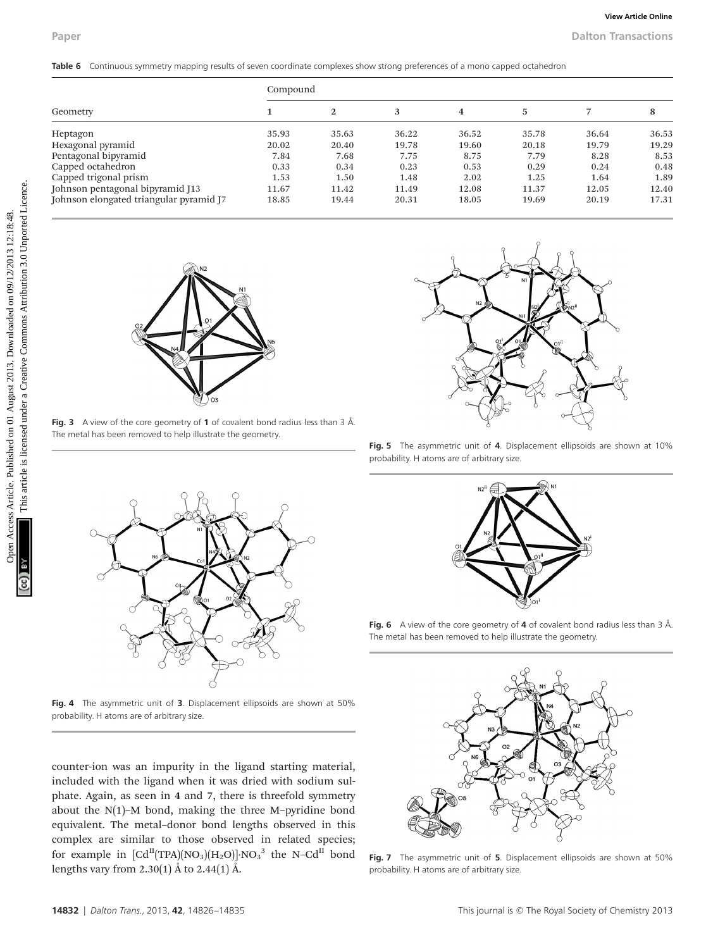|                                         | Compound     |              |              |                         |       |       |       |
|-----------------------------------------|--------------|--------------|--------------|-------------------------|-------|-------|-------|
| Geometry                                | $\mathbf{1}$ | $\mathbf{2}$ | $\mathbf{3}$ | $\overline{\mathbf{4}}$ | 5     | 7     | 8     |
| Heptagon                                | 35.93        | 35.63        | 36.22        | 36.52                   | 35.78 | 36.64 | 36.53 |
| Hexagonal pyramid                       | 20.02        | 20.40        | 19.78        | 19.60                   | 20.18 | 19.79 | 19.29 |
| Pentagonal bipyramid                    | 7.84         | 7.68         | 7.75         | 8.75                    | 7.79  | 8.28  | 8.53  |
| Capped octahedron                       | 0.33         | 0.34         | 0.23         | 0.53                    | 0.29  | 0.24  | 0.48  |
| Capped trigonal prism                   | 1.53         | 1.50         | 1.48         | 2.02                    | 1.25  | 1.64  | 1.89  |
| Johnson pentagonal bipyramid J13        | 11.67        | 11.42        | 11.49        | 12.08                   | 11.37 | 12.05 | 12.40 |
| Johnson elongated triangular pyramid J7 | 18.85        | 19.44        | 20.31        | 18.05                   | 19.69 | 20.19 | 17.31 |
|                                         |              |              |              |                         |       |       |       |



Fig. 3 A view of the core geometry of 1 of covalent bond radius less than 3  $\AA$ . The metal has been removed to help illustrate the geometry.



Fig. 4 The asymmetric unit of 3. Displacement ellipsoids are shown at 50% probability. H atoms are of arbitrary size.

counter-ion was an impurity in the ligand starting material, included with the ligand when it was dried with sodium sulphate. Again, as seen in 4 and 7, there is threefold symmetry about the  $N(1)$ –M bond, making the three M–pyridine bond equivalent. The metal–donor bond lengths observed in this complex are similar to those observed in related species; for example in  $[\text{Cd}^{\text{II}}(\text{TPA})(\text{NO}_3)(\text{H}_2\text{O})]\cdot \text{NO}_3^{-3}$  the N–C $\text{d}^{\text{II}}$  bond lengths vary from 2.30(1) Å to 2.44(1) Å.



Fig. 5 The asymmetric unit of 4. Displacement ellipsoids are shown at 10% probability. H atoms are of arbitrary size.



Fig. 6 A view of the core geometry of 4 of covalent bond radius less than 3 Å. The metal has been removed to help illustrate the geometry.



Fig. 7 The asymmetric unit of 5. Displacement ellipsoids are shown at 50% probability. H atoms are of arbitrary size.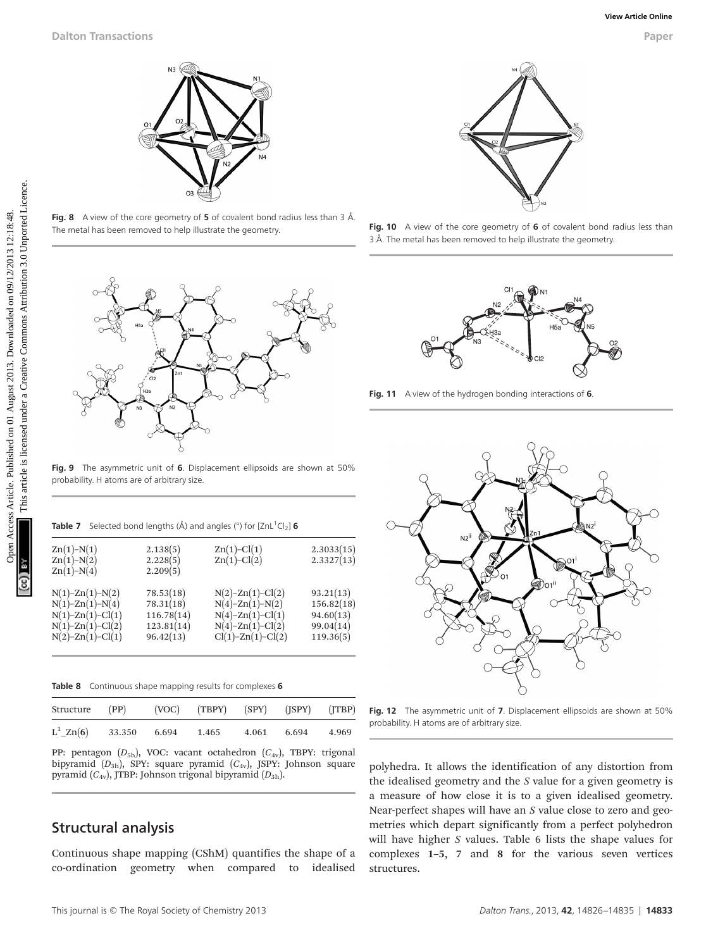

Fig. 8 A view of the core geometry of 5 of covalent bond radius less than 3  $\AA$ . The metal has been removed to help illustrate the geometry.



Fig. 9 The asymmetric unit of 6. Displacement ellipsoids are shown at 50% probability. H atoms are of arbitrary size.

|  | <b>Table 7</b> Selected bond lengths ( $\hat{A}$ ) and angles ( $\degree$ ) for [ZnL <sup>1</sup> Cl <sub>2</sub> ] <b>6</b> |  |  |  |  |  |  |  |
|--|------------------------------------------------------------------------------------------------------------------------------|--|--|--|--|--|--|--|
|--|------------------------------------------------------------------------------------------------------------------------------|--|--|--|--|--|--|--|

| $Zn(1)-N(1)$<br>$Zn(1)-N(2)$<br>$Zn(1)-N(4)$                                                                                                     | 2.138(5)<br>2.228(5)<br>2.209(5)                                | $Zn(1)-Cl(1)$<br>$Zn(1)-Cl(2)$                                                                                              | 2.3033(15)<br>2.3327(13)                                       |
|--------------------------------------------------------------------------------------------------------------------------------------------------|-----------------------------------------------------------------|-----------------------------------------------------------------------------------------------------------------------------|----------------------------------------------------------------|
| $N(1)$ -Zn $(1)$ - $N(2)$<br>$N(1)$ -Zn $(1)$ -N $(4)$<br>$N(1)$ -Zn $(1)$ -Cl $(1)$<br>$N(1)$ -Zn $(1)$ -Cl $(2)$<br>$N(2)$ -Zn $(1)$ -Cl $(1)$ | 78.53(18)<br>78.31(18)<br>116.78(14)<br>123.81(14)<br>96.42(13) | $N(2)$ -Zn(1)-Cl(2)<br>$N(4)$ -Zn $(1)$ -N $(2)$<br>$N(4)-Zn(1)-Cl(1)$<br>$N(4)$ -Zn $(1)$ -Cl $(2)$<br>$Cl(1)-Zn(1)-Cl(2)$ | 93.21(13)<br>156.82(18)<br>94.60(13)<br>99.04(14)<br>119.36(5) |

Table 8 Continuous shape mapping results for complexes 6

| Structure (PP) (VOC) (TBPY) (SPY) (JSPY) (JTBP) |  |       |             |  |
|-------------------------------------------------|--|-------|-------------|--|
| $L^1$ <sub>-</sub> Zn(6) 33.350 6.694 1.465     |  | 4.061 | 6.694 4.969 |  |

PP: pentagon  $(D_{5h})$ , VOC: vacant octahedron  $(C_{4v})$ , TBPY: trigonal bipyramid  $(D_{3h})$ , SPY: square pyramid  $(C_{4v})$ , JSPY: Johnson square pyramid  $(C_{4v})$ , JTBP: Johnson trigonal bipyramid  $(D_{3h})$ .

### Structural analysis

Continuous shape mapping (CShM) quantifies the shape of a co-ordination geometry when compared to idealised



Fig. 10 A view of the core geometry of 6 of covalent bond radius less than 3 Å. The metal has been removed to help illustrate the geometry.



Fig. 11 A view of the hydrogen bonding interactions of 6.



Fig. 12 The asymmetric unit of 7. Displacement ellipsoids are shown at 50% probability. H atoms are of arbitrary size.

polyhedra. It allows the identification of any distortion from the idealised geometry and the  $S$  value for a given geometry is a measure of how close it is to a given idealised geometry. Near-perfect shapes will have an S value close to zero and geometries which depart significantly from a perfect polyhedron will have higher S values. Table 6 lists the shape values for complexes 1–5, 7 and 8 for the various seven vertices structures.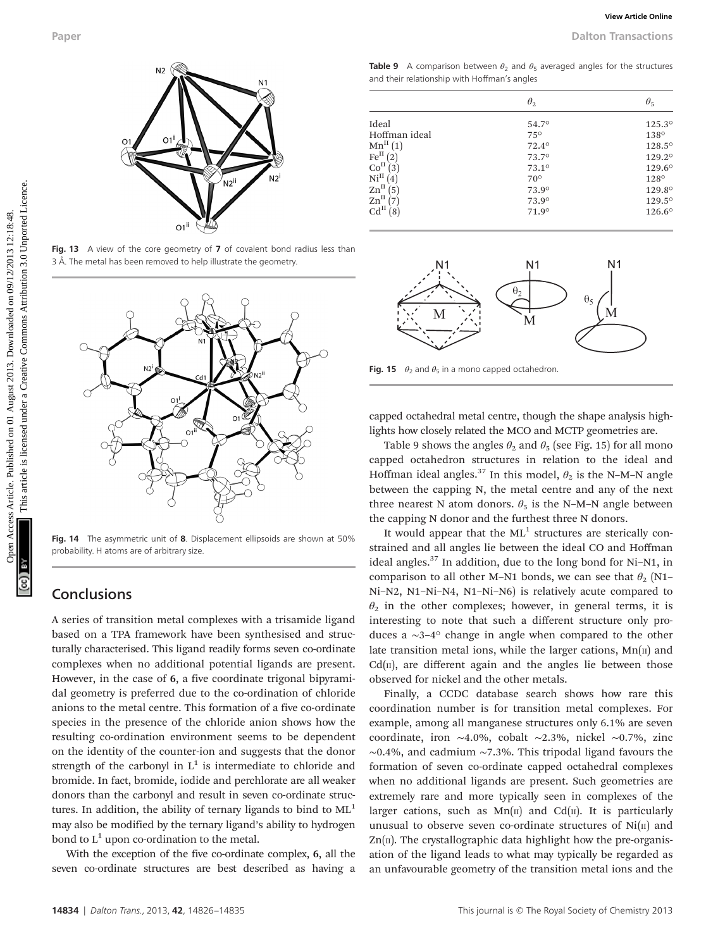

Fig. 13 A view of the core geometry of 7 of covalent bond radius less than 3 Å. The metal has been removed to help illustrate the geometry.



Fig. 14 The asymmetric unit of 8. Displacement ellipsoids are shown at 50% probability. H atoms are of arbitrary size.

## **Conclusions**

A series of transition metal complexes with a trisamide ligand based on a TPA framework have been synthesised and structurally characterised. This ligand readily forms seven co-ordinate complexes when no additional potential ligands are present. However, in the case of 6, a five coordinate trigonal bipyramidal geometry is preferred due to the co-ordination of chloride anions to the metal centre. This formation of a five co-ordinate species in the presence of the chloride anion shows how the resulting co-ordination environment seems to be dependent on the identity of the counter-ion and suggests that the donor strength of the carbonyl in  $L^1$  is intermediate to chloride and bromide. In fact, bromide, iodide and perchlorate are all weaker donors than the carbonyl and result in seven co-ordinate structures. In addition, the ability of ternary ligands to bind to  $ML<sup>1</sup>$ may also be modified by the ternary ligand's ability to hydrogen bond to  $L^1$  upon co-ordination to the metal.

With the exception of the five co-ordinate complex, 6, all the seven co-ordinate structures are best described as having a

**Table 9** A comparison between  $\theta_2$  and  $\theta_5$  averaged angles for the structures and their relationship with Hoffman's angles

|                                                  | $\theta_2$     | $\theta_5$ |
|--------------------------------------------------|----------------|------------|
| Ideal                                            | 54.7°          | 125.3°     |
| Hoffman ideal                                    | $75^\circ$     | 138°       |
| $Mn^{\text{II}}(1)$                              | 72.4°          | 128.5°     |
| Fe <sup>H</sup> (2)                              | 73.7°          | 129.2°     |
| Co <sup>II</sup><br>(3)                          | $73.1^{\circ}$ | 129.6°     |
| Ni <sup>II</sup><br>(4)                          | $70^\circ$     | 128°       |
| $\text{Zn}^{\text{II}}\left(5\right)$            | 73.9°          | 129.8°     |
| $\text{Zn}^{\text{II}}\left(\overline{7}\right)$ | 73.9°          | 129.5°     |
| Cd <sup>H</sup><br>(8)                           | 71.9°          | 126.6°     |



Fig. 15  $\theta_2$  and  $\theta_5$  in a mono capped octahedron.

capped octahedral metal centre, though the shape analysis highlights how closely related the MCO and MCTP geometries are.

Table 9 shows the angles  $\theta_2$  and  $\theta_5$  (see Fig. 15) for all mono capped octahedron structures in relation to the ideal and Hoffman ideal angles.<sup>37</sup> In this model,  $\theta_2$  is the N–M–N angle between the capping N, the metal centre and any of the next three nearest N atom donors.  $\theta_5$  is the N–M–N angle between the capping N donor and the furthest three N donors.

It would appear that the  $ML^1$  structures are sterically constrained and all angles lie between the ideal CO and Hoffman ideal angles.37 In addition, due to the long bond for Ni–N1, in comparison to all other M–N1 bonds, we can see that  $\theta_2$  (N1– Ni–N2, N1–Ni–N4, N1–Ni–N6) is relatively acute compared to  $\theta_2$  in the other complexes; however, in general terms, it is interesting to note that such a different structure only produces a ∼3–4° change in angle when compared to the other late transition metal ions, while the larger cations,  $Mn(\text{II})$  and  $Cd(n)$ , are different again and the angles lie between those observed for nickel and the other metals.

Finally, a CCDC database search shows how rare this coordination number is for transition metal complexes. For example, among all manganese structures only 6.1% are seven coordinate, iron ∼4.0%, cobalt ∼2.3%, nickel ∼0.7%, zinc ∼0.4%, and cadmium ∼7.3%. This tripodal ligand favours the formation of seven co-ordinate capped octahedral complexes when no additional ligands are present. Such geometries are extremely rare and more typically seen in complexes of the larger cations, such as  $Mn(\pi)$  and Cd( $\pi$ ). It is particularly unusual to observe seven co-ordinate structures of  $Ni(II)$  and  $Zn(\pi)$ . The crystallographic data highlight how the pre-organisation of the ligand leads to what may typically be regarded as an unfavourable geometry of the transition metal ions and the